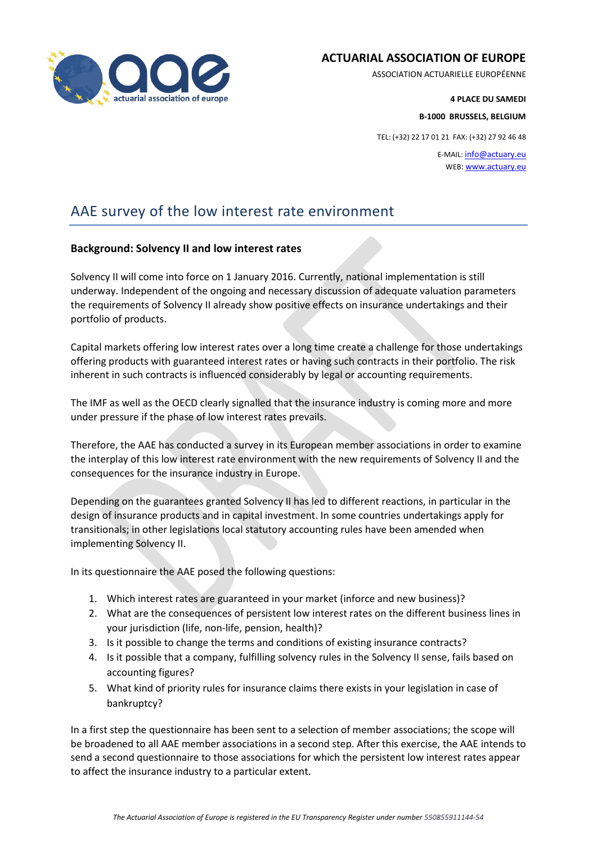

## **ACTUARIAL ASSOCIATION OF EUROPE**

ASSOCIATION ACTUARIELLE EUROPÉENNE

**4 PLACE DU SAMEDI**

**B-1000 BRUSSELS, BELGIUM**

TEL: (+32) 22 17 01 21 FAX: (+32) 27 92 46 48

E-MAIL: [info@actuary.eu](mailto:info@actuary.eu) WEB[: www.actuary.eu](http://www.actuary.eu/)

# AAE survey of the low interest rate environment

#### **Background: Solvency II and low interest rates**

Solvency II will come into force on 1 January 2016. Currently, national implementation is still underway. Independent of the ongoing and necessary discussion of adequate valuation parameters the requirements of Solvency II already show positive effects on insurance undertakings and their portfolio of products.

Capital markets offering low interest rates over a long time create a challenge for those undertakings offering products with guaranteed interest rates or having such contracts in their portfolio. The risk inherent in such contracts is influenced considerably by legal or accounting requirements.

The IMF as well as the OECD clearly signalled that the insurance industry is coming more and more under pressure if the phase of low interest rates prevails.

Therefore, the AAE has conducted a survey in its European member associations in order to examine the interplay of this low interest rate environment with the new requirements of Solvency II and the consequences for the insurance industry in Europe.

Depending on the guarantees granted Solvency II has led to different reactions, in particular in the design of insurance products and in capital investment. In some countries undertakings apply for transitionals; in other legislations local statutory accounting rules have been amended when implementing Solvency II.

In its questionnaire the AAE posed the following questions:

- 1. Which interest rates are guaranteed in your market (inforce and new business)?
- 2. What are the consequences of persistent low interest rates on the different business lines in your jurisdiction (life, non-life, pension, health)?
- 3. Is it possible to change the terms and conditions of existing insurance contracts?
- 4. Is it possible that a company, fulfilling solvency rules in the Solvency II sense, fails based on accounting figures?
- 5. What kind of priority rules for insurance claims there exists in your legislation in case of bankruptcy?

In a first step the questionnaire has been sent to a selection of member associations; the scope will be broadened to all AAE member associations in a second step. After this exercise, the AAE intends to send a second questionnaire to those associations for which the persistent low interest rates appear to affect the insurance industry to a particular extent.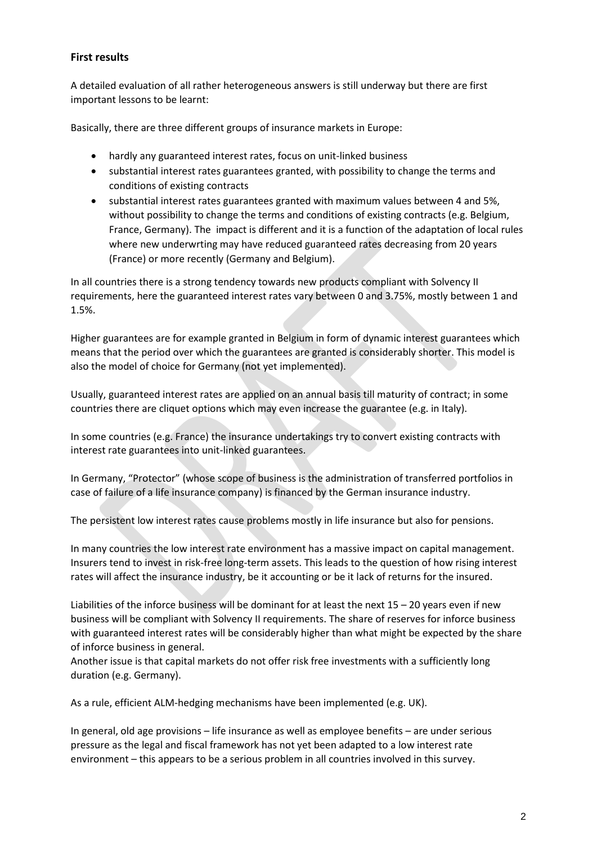### **First results**

A detailed evaluation of all rather heterogeneous answers is still underway but there are first important lessons to be learnt:

Basically, there are three different groups of insurance markets in Europe:

- hardly any guaranteed interest rates, focus on unit-linked business
- substantial interest rates guarantees granted, with possibility to change the terms and conditions of existing contracts
- substantial interest rates guarantees granted with maximum values between 4 and 5%, without possibility to change the terms and conditions of existing contracts (e.g. Belgium, France, Germany). The impact is different and it is a function of the adaptation of local rules where new underwrting may have reduced guaranteed rates decreasing from 20 years (France) or more recently (Germany and Belgium).

In all countries there is a strong tendency towards new products compliant with Solvency II requirements, here the guaranteed interest rates vary between 0 and 3.75%, mostly between 1 and 1.5%.

Higher guarantees are for example granted in Belgium in form of dynamic interest guarantees which means that the period over which the guarantees are granted is considerably shorter. This model is also the model of choice for Germany (not yet implemented).

Usually, guaranteed interest rates are applied on an annual basis till maturity of contract; in some countries there are cliquet options which may even increase the guarantee (e.g. in Italy).

In some countries (e.g. France) the insurance undertakings try to convert existing contracts with interest rate guarantees into unit-linked guarantees.

In Germany, "Protector" (whose scope of business is the administration of transferred portfolios in case of failure of a life insurance company) is financed by the German insurance industry.

The persistent low interest rates cause problems mostly in life insurance but also for pensions.

In many countries the low interest rate environment has a massive impact on capital management. Insurers tend to invest in risk-free long-term assets. This leads to the question of how rising interest rates will affect the insurance industry, be it accounting or be it lack of returns for the insured.

Liabilities of the inforce business will be dominant for at least the next 15 – 20 years even if new business will be compliant with Solvency II requirements. The share of reserves for inforce business with guaranteed interest rates will be considerably higher than what might be expected by the share of inforce business in general.

Another issue is that capital markets do not offer risk free investments with a sufficiently long duration (e.g. Germany).

As a rule, efficient ALM-hedging mechanisms have been implemented (e.g. UK).

In general, old age provisions – life insurance as well as employee benefits – are under serious pressure as the legal and fiscal framework has not yet been adapted to a low interest rate environment – this appears to be a serious problem in all countries involved in this survey.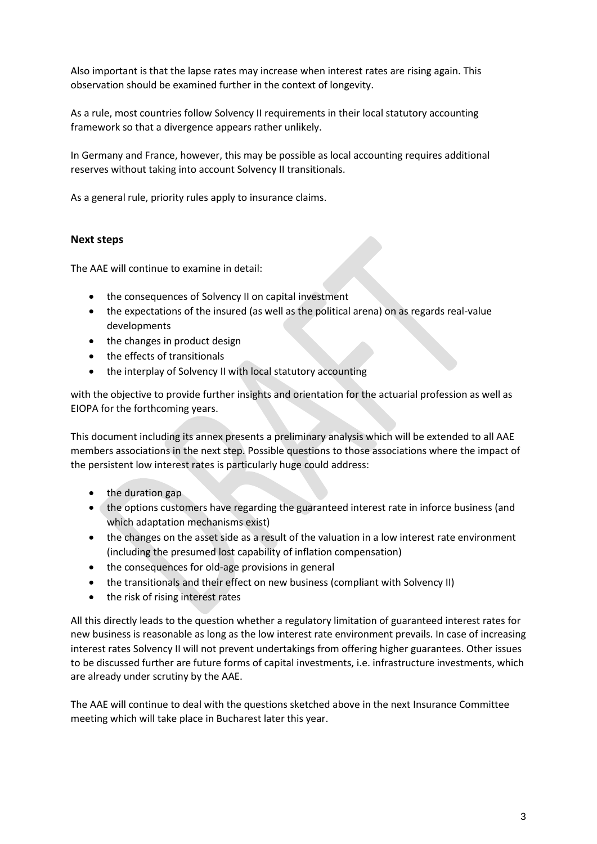Also important is that the lapse rates may increase when interest rates are rising again. This observation should be examined further in the context of longevity.

As a rule, most countries follow Solvency II requirements in their local statutory accounting framework so that a divergence appears rather unlikely.

In Germany and France, however, this may be possible as local accounting requires additional reserves without taking into account Solvency II transitionals.

As a general rule, priority rules apply to insurance claims.

#### **Next steps**

The AAE will continue to examine in detail:

- the consequences of Solvency II on capital investment
- the expectations of the insured (as well as the political arena) on as regards real-value developments
- the changes in product design
- the effects of transitionals
- the interplay of Solvency II with local statutory accounting

with the objective to provide further insights and orientation for the actuarial profession as well as EIOPA for the forthcoming years.

This document including its annex presents a preliminary analysis which will be extended to all AAE members associations in the next step. Possible questions to those associations where the impact of the persistent low interest rates is particularly huge could address:

- the duration gap
- the options customers have regarding the guaranteed interest rate in inforce business (and which adaptation mechanisms exist)
- the changes on the asset side as a result of the valuation in a low interest rate environment (including the presumed lost capability of inflation compensation)
- the consequences for old-age provisions in general
- the transitionals and their effect on new business (compliant with Solvency II)
- the risk of rising interest rates

All this directly leads to the question whether a regulatory limitation of guaranteed interest rates for new business is reasonable as long as the low interest rate environment prevails. In case of increasing interest rates Solvency II will not prevent undertakings from offering higher guarantees. Other issues to be discussed further are future forms of capital investments, i.e. infrastructure investments, which are already under scrutiny by the AAE.

The AAE will continue to deal with the questions sketched above in the next Insurance Committee meeting which will take place in Bucharest later this year.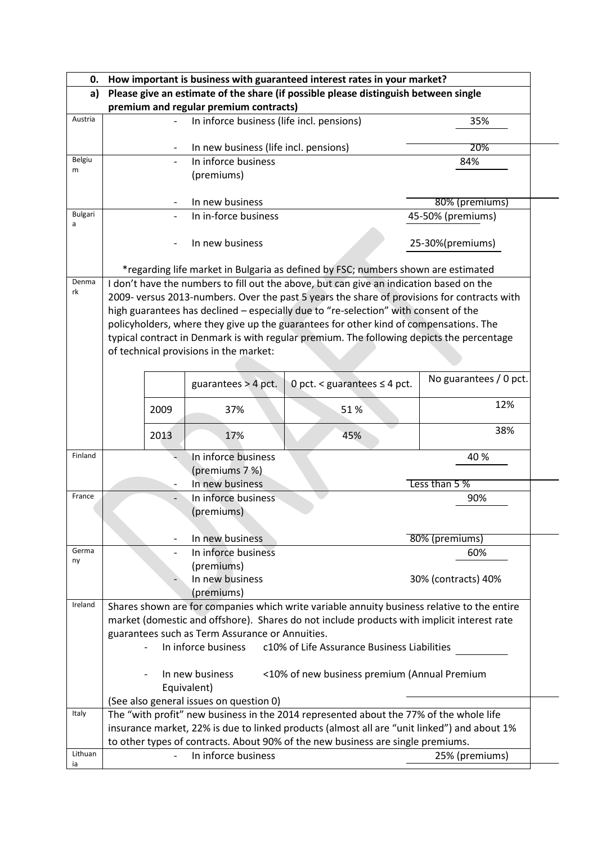| 0.          |                                                                                     |                                                 | How important is business with guaranteed interest rates in your market?                    |                        |
|-------------|-------------------------------------------------------------------------------------|-------------------------------------------------|---------------------------------------------------------------------------------------------|------------------------|
| a)          | Please give an estimate of the share (if possible please distinguish between single |                                                 |                                                                                             |                        |
|             |                                                                                     | premium and regular premium contracts)          |                                                                                             |                        |
| Austria     |                                                                                     |                                                 | In inforce business (life incl. pensions)                                                   | 35%                    |
|             |                                                                                     | In new business (life incl. pensions)           |                                                                                             | 20%                    |
| Belgiu      |                                                                                     | In inforce business                             |                                                                                             | 84%                    |
| m           |                                                                                     | (premiums)                                      |                                                                                             |                        |
|             |                                                                                     | In new business                                 |                                                                                             |                        |
| Bulgari     |                                                                                     |                                                 |                                                                                             | 80% (premiums)         |
| a           |                                                                                     | In in-force business                            |                                                                                             | 45-50% (premiums)      |
|             |                                                                                     | In new business                                 |                                                                                             | 25-30%(premiums)       |
|             |                                                                                     |                                                 | *regarding life market in Bulgaria as defined by FSC; numbers shown are estimated           |                        |
| Denma<br>rk |                                                                                     |                                                 | I don't have the numbers to fill out the above, but can give an indication based on the     |                        |
|             |                                                                                     |                                                 | 2009- versus 2013-numbers. Over the past 5 years the share of provisions for contracts with |                        |
|             |                                                                                     |                                                 | high guarantees has declined - especially due to "re-selection" with consent of the         |                        |
|             |                                                                                     |                                                 | policyholders, where they give up the guarantees for other kind of compensations. The       |                        |
|             |                                                                                     |                                                 | typical contract in Denmark is with regular premium. The following depicts the percentage   |                        |
|             |                                                                                     | of technical provisions in the market:          |                                                                                             |                        |
|             |                                                                                     |                                                 |                                                                                             |                        |
|             |                                                                                     | guarantees > 4 pct.                             | 0 pct. < guarantees $\leq$ 4 pct.                                                           | No guarantees / 0 pct. |
|             | 2009                                                                                | 37%                                             | 51%                                                                                         | 12%                    |
|             | 2013                                                                                | 17%                                             | 45%                                                                                         | 38%                    |
| Finland     |                                                                                     | In inforce business                             |                                                                                             | 40 %                   |
|             |                                                                                     | (premiums 7 %)                                  |                                                                                             |                        |
|             |                                                                                     | In new business                                 |                                                                                             | Less than 5 %          |
| France      |                                                                                     | In inforce business                             |                                                                                             | 90%                    |
|             |                                                                                     | (premiums)                                      |                                                                                             |                        |
|             |                                                                                     |                                                 |                                                                                             |                        |
| Germa       |                                                                                     | In new business                                 |                                                                                             | 80% (premiums)         |
| ny          |                                                                                     | In inforce business                             |                                                                                             | 60%                    |
|             |                                                                                     | (premiums)                                      |                                                                                             |                        |
|             |                                                                                     | In new business                                 |                                                                                             | 30% (contracts) 40%    |
| Ireland     |                                                                                     | (premiums)                                      | Shares shown are for companies which write variable annuity business relative to the entire |                        |
|             |                                                                                     |                                                 | market (domestic and offshore). Shares do not include products with implicit interest rate  |                        |
|             |                                                                                     | guarantees such as Term Assurance or Annuities. |                                                                                             |                        |
|             |                                                                                     | In inforce business                             | c10% of Life Assurance Business Liabilities                                                 |                        |
|             |                                                                                     |                                                 |                                                                                             |                        |
|             |                                                                                     | In new business                                 | <10% of new business premium (Annual Premium                                                |                        |
|             |                                                                                     | Equivalent)                                     |                                                                                             |                        |
| Italy       |                                                                                     | (See also general issues on question 0)         |                                                                                             |                        |
|             |                                                                                     |                                                 | The "with profit" new business in the 2014 represented about the 77% of the whole life      |                        |
|             |                                                                                     |                                                 | insurance market, 22% is due to linked products (almost all are "unit linked") and about 1% |                        |
| Lithuan     |                                                                                     | In inforce business                             | to other types of contracts. About 90% of the new business are single premiums.             |                        |
| ia          |                                                                                     |                                                 |                                                                                             | 25% (premiums)         |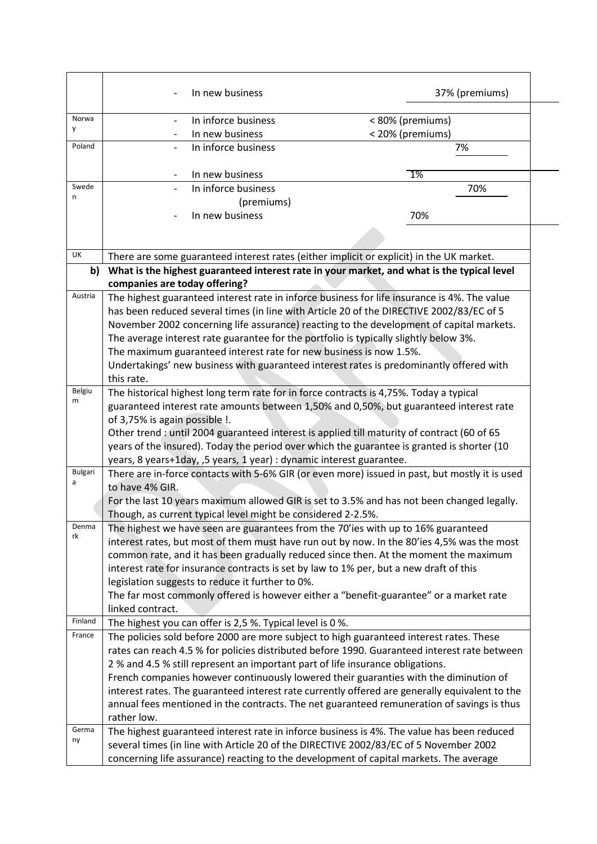|              | In new business                                                                                                                                                                    | 37% (premiums)   |
|--------------|------------------------------------------------------------------------------------------------------------------------------------------------------------------------------------|------------------|
| Norwa        | In inforce business<br>$\overline{\phantom{0}}$                                                                                                                                    | < 80% (premiums) |
| y            | In new business                                                                                                                                                                    | < 20% (premiums) |
| Poland       | In inforce business<br>$\overline{\phantom{0}}$                                                                                                                                    | 7%               |
|              |                                                                                                                                                                                    |                  |
|              | In new business<br>$\qquad \qquad -$                                                                                                                                               | 1%               |
| Swede        | In inforce business<br>$\overline{\phantom{0}}$                                                                                                                                    | 70%              |
| n            | (premiums)                                                                                                                                                                         |                  |
|              | In new business                                                                                                                                                                    | 70%              |
|              |                                                                                                                                                                                    |                  |
| UK           | There are some guaranteed interest rates (either implicit or explicit) in the UK market.                                                                                           |                  |
| b)           | What is the highest guaranteed interest rate in your market, and what is the typical level                                                                                         |                  |
|              | companies are today offering?                                                                                                                                                      |                  |
| Austria      | The highest guaranteed interest rate in inforce business for life insurance is 4%. The value                                                                                       |                  |
|              | has been reduced several times (in line with Article 20 of the DIRECTIVE 2002/83/EC of 5                                                                                           |                  |
|              | November 2002 concerning life assurance) reacting to the development of capital markets.                                                                                           |                  |
|              | The average interest rate guarantee for the portfolio is typically slightly below 3%.                                                                                              |                  |
|              | The maximum guaranteed interest rate for new business is now 1.5%.<br>Undertakings' new business with guaranteed interest rates is predominantly offered with                      |                  |
|              | this rate.                                                                                                                                                                         |                  |
| Belgiu       | The historical highest long term rate for in force contracts is 4,75%. Today a typical                                                                                             |                  |
| m            | guaranteed interest rate amounts between 1,50% and 0,50%, but guaranteed interest rate                                                                                             |                  |
|              | of 3,75% is again possible !.                                                                                                                                                      |                  |
|              | Other trend : until 2004 guaranteed interest is applied till maturity of contract (60 of 65                                                                                        |                  |
|              | years of the insured). Today the period over which the guarantee is granted is shorter (10                                                                                         |                  |
|              | years, 8 years+1day, ,5 years, 1 year) : dynamic interest guarantee.                                                                                                               |                  |
| Bulgari<br>a | There are in-force contacts with 5-6% GIR (or even more) issued in past, but mostly it is used                                                                                     |                  |
|              | to have 4% GIR.                                                                                                                                                                    |                  |
|              | For the last 10 years maximum allowed GIR is set to 3.5% and has not been changed legally.                                                                                         |                  |
| Denma        | Though, as current typical level might be considered 2-2.5%.                                                                                                                       |                  |
| rk           | The highest we have seen are guarantees from the 70'ies with up to 16% guaranteed                                                                                                  |                  |
|              | interest rates, but most of them must have run out by now. In the 80'ies 4,5% was the most<br>common rate, and it has been gradually reduced since then. At the moment the maximum |                  |
|              | interest rate for insurance contracts is set by law to 1% per, but a new draft of this                                                                                             |                  |
|              | legislation suggests to reduce it further to 0%.                                                                                                                                   |                  |
|              | The far most commonly offered is however either a "benefit-guarantee" or a market rate                                                                                             |                  |
|              | linked contract.                                                                                                                                                                   |                  |
| Finland      | The highest you can offer is 2,5 %. Typical level is 0 %.                                                                                                                          |                  |
| France       | The policies sold before 2000 are more subject to high guaranteed interest rates. These                                                                                            |                  |
|              | rates can reach 4.5 % for policies distributed before 1990. Guaranteed interest rate between                                                                                       |                  |
|              | 2 % and 4.5 % still represent an important part of life insurance obligations.                                                                                                     |                  |
|              | French companies however continuously lowered their guaranties with the diminution of                                                                                              |                  |
|              | interest rates. The guaranteed interest rate currently offered are generally equivalent to the                                                                                     |                  |
|              | annual fees mentioned in the contracts. The net guaranteed remuneration of savings is thus                                                                                         |                  |
| Germa        | rather low.                                                                                                                                                                        |                  |
| ny           | The highest guaranteed interest rate in inforce business is 4%. The value has been reduced                                                                                         |                  |
|              | several times (in line with Article 20 of the DIRECTIVE 2002/83/EC of 5 November 2002<br>concerning life assurance) reacting to the development of capital markets. The average    |                  |
|              |                                                                                                                                                                                    |                  |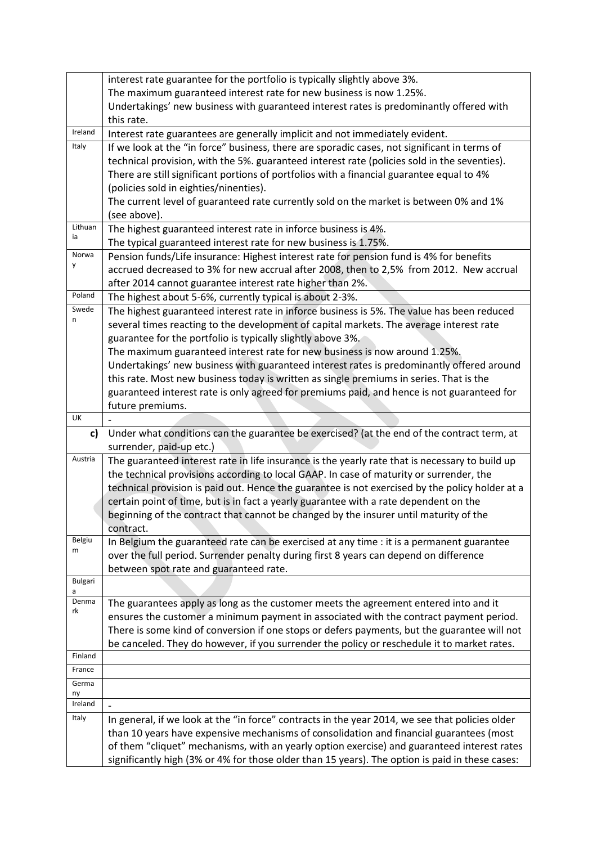|                 | interest rate guarantee for the portfolio is typically slightly above 3%.                                                                                                                 |
|-----------------|-------------------------------------------------------------------------------------------------------------------------------------------------------------------------------------------|
|                 | The maximum guaranteed interest rate for new business is now 1.25%.                                                                                                                       |
|                 | Undertakings' new business with guaranteed interest rates is predominantly offered with                                                                                                   |
| Ireland         | this rate.                                                                                                                                                                                |
| Italy           | Interest rate guarantees are generally implicit and not immediately evident.                                                                                                              |
|                 | If we look at the "in force" business, there are sporadic cases, not significant in terms of                                                                                              |
|                 | technical provision, with the 5%. guaranteed interest rate (policies sold in the seventies).<br>There are still significant portions of portfolios with a financial guarantee equal to 4% |
|                 | (policies sold in eighties/ninenties).                                                                                                                                                    |
|                 | The current level of guaranteed rate currently sold on the market is between 0% and 1%                                                                                                    |
|                 | (see above).                                                                                                                                                                              |
| Lithuan         | The highest guaranteed interest rate in inforce business is 4%.                                                                                                                           |
| ia              | The typical guaranteed interest rate for new business is 1.75%.                                                                                                                           |
| Norwa           | Pension funds/Life insurance: Highest interest rate for pension fund is 4% for benefits                                                                                                   |
| у               | accrued decreased to 3% for new accrual after 2008, then to 2,5% from 2012. New accrual                                                                                                   |
|                 | after 2014 cannot guarantee interest rate higher than 2%.                                                                                                                                 |
| Poland          | The highest about 5-6%, currently typical is about 2-3%.                                                                                                                                  |
| Swede<br>n      | The highest guaranteed interest rate in inforce business is 5%. The value has been reduced                                                                                                |
|                 | several times reacting to the development of capital markets. The average interest rate                                                                                                   |
|                 | guarantee for the portfolio is typically slightly above 3%.                                                                                                                               |
|                 | The maximum guaranteed interest rate for new business is now around 1.25%.                                                                                                                |
|                 | Undertakings' new business with guaranteed interest rates is predominantly offered around                                                                                                 |
|                 | this rate. Most new business today is written as single premiums in series. That is the                                                                                                   |
|                 | guaranteed interest rate is only agreed for premiums paid, and hence is not guaranteed for                                                                                                |
| UK              | future premiums.                                                                                                                                                                          |
| c)              | Under what conditions can the guarantee be exercised? (at the end of the contract term, at                                                                                                |
|                 | surrender, paid-up etc.)                                                                                                                                                                  |
| Austria         | The guaranteed interest rate in life insurance is the yearly rate that is necessary to build up                                                                                           |
|                 | the technical provisions according to local GAAP. In case of maturity or surrender, the                                                                                                   |
|                 | technical provision is paid out. Hence the guarantee is not exercised by the policy holder at a                                                                                           |
|                 | certain point of time, but is in fact a yearly guarantee with a rate dependent on the                                                                                                     |
|                 | beginning of the contract that cannot be changed by the insurer until maturity of the                                                                                                     |
|                 | contract.                                                                                                                                                                                 |
| Belgiu<br>m     | In Belgium the guaranteed rate can be exercised at any time : it is a permanent guarantee                                                                                                 |
|                 | over the full period. Surrender penalty during first 8 years can depend on difference                                                                                                     |
| Bulgari         | between spot rate and guaranteed rate.                                                                                                                                                    |
| a               |                                                                                                                                                                                           |
| Denma<br>rk     | The guarantees apply as long as the customer meets the agreement entered into and it                                                                                                      |
|                 | ensures the customer a minimum payment in associated with the contract payment period.                                                                                                    |
|                 | There is some kind of conversion if one stops or defers payments, but the guarantee will not                                                                                              |
|                 | be canceled. They do however, if you surrender the policy or reschedule it to market rates.                                                                                               |
| Finland         |                                                                                                                                                                                           |
| France<br>Germa |                                                                                                                                                                                           |
| ny              |                                                                                                                                                                                           |
| Ireland         |                                                                                                                                                                                           |
| Italy           | In general, if we look at the "in force" contracts in the year 2014, we see that policies older                                                                                           |
|                 | than 10 years have expensive mechanisms of consolidation and financial guarantees (most                                                                                                   |
|                 | of them "cliquet" mechanisms, with an yearly option exercise) and guaranteed interest rates                                                                                               |
|                 | significantly high (3% or 4% for those older than 15 years). The option is paid in these cases:                                                                                           |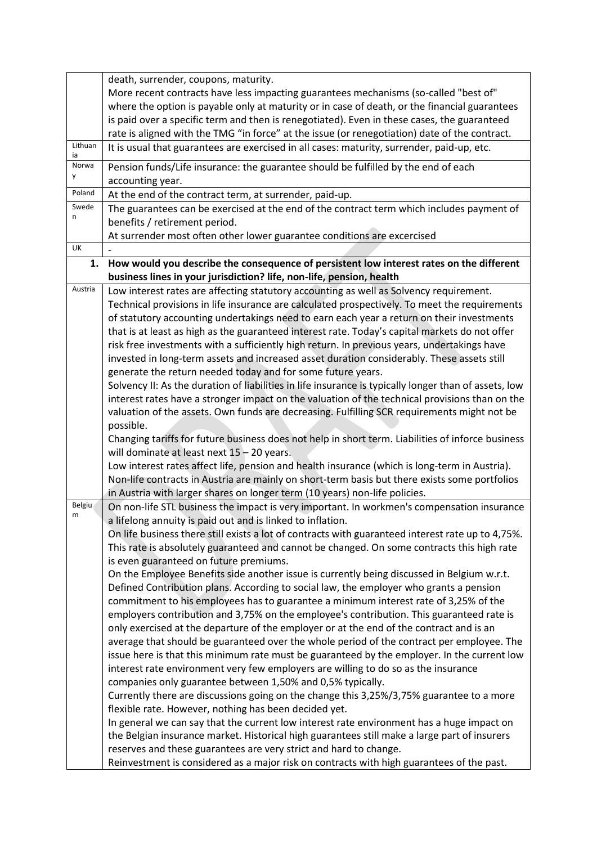|               | death, surrender, coupons, maturity.                                                                  |
|---------------|-------------------------------------------------------------------------------------------------------|
|               | More recent contracts have less impacting guarantees mechanisms (so-called "best of"                  |
|               | where the option is payable only at maturity or in case of death, or the financial guarantees         |
|               | is paid over a specific term and then is renegotiated). Even in these cases, the guaranteed           |
|               | rate is aligned with the TMG "in force" at the issue (or renegotiation) date of the contract.         |
| Lithuan<br>ia | It is usual that guarantees are exercised in all cases: maturity, surrender, paid-up, etc.            |
| Norwa         | Pension funds/Life insurance: the guarantee should be fulfilled by the end of each                    |
| y             | accounting year.                                                                                      |
| Poland        | At the end of the contract term, at surrender, paid-up.                                               |
| Swede         | The guarantees can be exercised at the end of the contract term which includes payment of             |
| n             | benefits / retirement period.                                                                         |
|               | At surrender most often other lower guarantee conditions are excercised                               |
| UK            |                                                                                                       |
| 1.            | How would you describe the consequence of persistent low interest rates on the different              |
|               | business lines in your jurisdiction? life, non-life, pension, health                                  |
| Austria       | Low interest rates are affecting statutory accounting as well as Solvency requirement.                |
|               | Technical provisions in life insurance are calculated prospectively. To meet the requirements         |
|               | of statutory accounting undertakings need to earn each year a return on their investments             |
|               | that is at least as high as the guaranteed interest rate. Today's capital markets do not offer        |
|               | risk free investments with a sufficiently high return. In previous years, undertakings have           |
|               | invested in long-term assets and increased asset duration considerably. These assets still            |
|               | generate the return needed today and for some future years.                                           |
|               | Solvency II: As the duration of liabilities in life insurance is typically longer than of assets, low |
|               | interest rates have a stronger impact on the valuation of the technical provisions than on the        |
|               | valuation of the assets. Own funds are decreasing. Fulfilling SCR requirements might not be           |
|               | possible.                                                                                             |
|               | Changing tariffs for future business does not help in short term. Liabilities of inforce business     |
|               | will dominate at least next 15 - 20 years.                                                            |
|               | Low interest rates affect life, pension and health insurance (which is long-term in Austria).         |
|               | Non-life contracts in Austria are mainly on short-term basis but there exists some portfolios         |
|               | in Austria with larger shares on longer term (10 years) non-life policies.                            |
| Belgiu        | On non-life STL business the impact is very important. In workmen's compensation insurance            |
| m             | a lifelong annuity is paid out and is linked to inflation.                                            |
|               | On life business there still exists a lot of contracts with guaranteed interest rate up to 4,75%.     |
|               | This rate is absolutely guaranteed and cannot be changed. On some contracts this high rate            |
|               | is even guaranteed on future premiums.                                                                |
|               | On the Employee Benefits side another issue is currently being discussed in Belgium w.r.t.            |
|               | Defined Contribution plans. According to social law, the employer who grants a pension                |
|               | commitment to his employees has to guarantee a minimum interest rate of 3,25% of the                  |
|               | employers contribution and 3,75% on the employee's contribution. This guaranteed rate is              |
|               | only exercised at the departure of the employer or at the end of the contract and is an               |
|               | average that should be guaranteed over the whole period of the contract per employee. The             |
|               | issue here is that this minimum rate must be guaranteed by the employer. In the current low           |
|               | interest rate environment very few employers are willing to do so as the insurance                    |
|               | companies only guarantee between 1,50% and 0,5% typically.                                            |
|               | Currently there are discussions going on the change this 3,25%/3,75% guarantee to a more              |
|               | flexible rate. However, nothing has been decided yet.                                                 |
|               | In general we can say that the current low interest rate environment has a huge impact on             |
|               | the Belgian insurance market. Historical high guarantees still make a large part of insurers          |
|               | reserves and these guarantees are very strict and hard to change.                                     |
|               | Reinvestment is considered as a major risk on contracts with high guarantees of the past.             |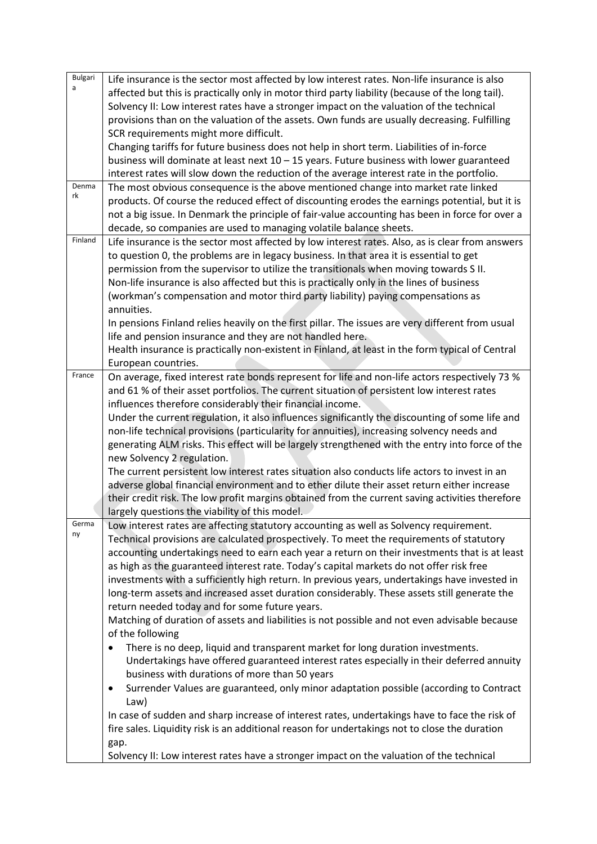| Bulgari     | Life insurance is the sector most affected by low interest rates. Non-life insurance is also     |
|-------------|--------------------------------------------------------------------------------------------------|
| a           | affected but this is practically only in motor third party liability (because of the long tail). |
|             | Solvency II: Low interest rates have a stronger impact on the valuation of the technical         |
|             | provisions than on the valuation of the assets. Own funds are usually decreasing. Fulfilling     |
|             | SCR requirements might more difficult.                                                           |
|             | Changing tariffs for future business does not help in short term. Liabilities of in-force        |
|             | business will dominate at least next 10 - 15 years. Future business with lower guaranteed        |
|             | interest rates will slow down the reduction of the average interest rate in the portfolio.       |
| Denma       | The most obvious consequence is the above mentioned change into market rate linked               |
| rk          | products. Of course the reduced effect of discounting erodes the earnings potential, but it is   |
|             | not a big issue. In Denmark the principle of fair-value accounting has been in force for over a  |
|             | decade, so companies are used to managing volatile balance sheets.                               |
| Finland     | Life insurance is the sector most affected by low interest rates. Also, as is clear from answers |
|             |                                                                                                  |
|             | to question 0, the problems are in legacy business. In that area it is essential to get          |
|             | permission from the supervisor to utilize the transitionals when moving towards S II.            |
|             | Non-life insurance is also affected but this is practically only in the lines of business        |
|             | (workman's compensation and motor third party liability) paying compensations as                 |
|             | annuities.                                                                                       |
|             | In pensions Finland relies heavily on the first pillar. The issues are very different from usual |
|             | life and pension insurance and they are not handled here.                                        |
|             | Health insurance is practically non-existent in Finland, at least in the form typical of Central |
|             | European countries.                                                                              |
| France      | On average, fixed interest rate bonds represent for life and non-life actors respectively 73 %   |
|             | and 61 % of their asset portfolios. The current situation of persistent low interest rates       |
|             | influences therefore considerably their financial income.                                        |
|             | Under the current regulation, it also influences significantly the discounting of some life and  |
|             | non-life technical provisions (particularity for annuities), increasing solvency needs and       |
|             | generating ALM risks. This effect will be largely strengthened with the entry into force of the  |
|             | new Solvency 2 regulation.                                                                       |
|             | The current persistent low interest rates situation also conducts life actors to invest in an    |
|             | adverse global financial environment and to ether dilute their asset return either increase      |
|             | their credit risk. The low profit margins obtained from the current saving activities therefore  |
|             | largely questions the viability of this model.                                                   |
| Germa<br>ny | Low interest rates are affecting statutory accounting as well as Solvency requirement.           |
|             | Technical provisions are calculated prospectively. To meet the requirements of statutory         |
|             | accounting undertakings need to earn each year a return on their investments that is at least    |
|             | as high as the guaranteed interest rate. Today's capital markets do not offer risk free          |
|             | investments with a sufficiently high return. In previous years, undertakings have invested in    |
|             | long-term assets and increased asset duration considerably. These assets still generate the      |
|             | return needed today and for some future years.                                                   |
|             | Matching of duration of assets and liabilities is not possible and not even advisable because    |
|             | of the following                                                                                 |
|             | There is no deep, liquid and transparent market for long duration investments.<br>٠              |
|             | Undertakings have offered guaranteed interest rates especially in their deferred annuity         |
|             | business with durations of more than 50 years                                                    |
|             | Surrender Values are guaranteed, only minor adaptation possible (according to Contract<br>٠      |
|             | Law)                                                                                             |
|             | In case of sudden and sharp increase of interest rates, undertakings have to face the risk of    |
|             | fire sales. Liquidity risk is an additional reason for undertakings not to close the duration    |
|             | gap.                                                                                             |
|             | Solvency II: Low interest rates have a stronger impact on the valuation of the technical         |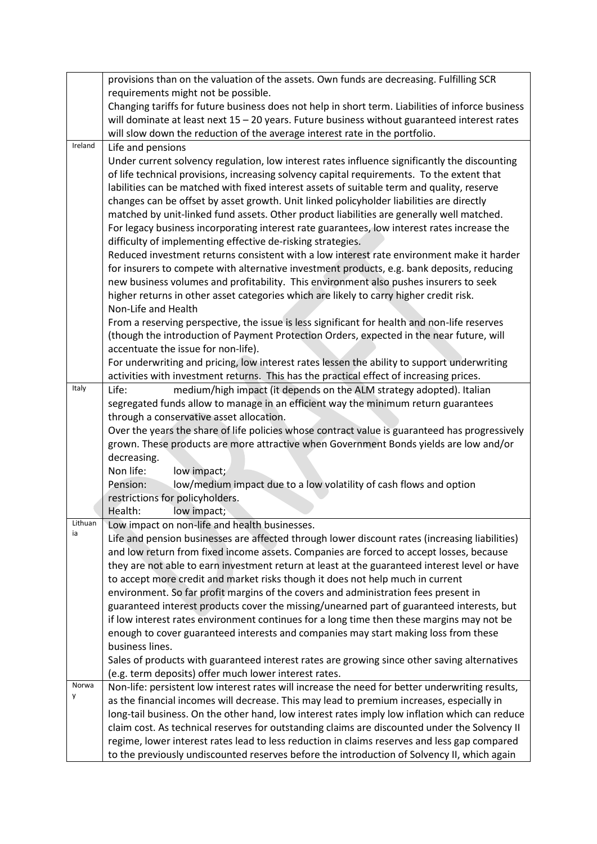|         | provisions than on the valuation of the assets. Own funds are decreasing. Fulfilling SCR                                                   |
|---------|--------------------------------------------------------------------------------------------------------------------------------------------|
|         | requirements might not be possible.                                                                                                        |
|         | Changing tariffs for future business does not help in short term. Liabilities of inforce business                                          |
|         | will dominate at least next $15 - 20$ years. Future business without guaranteed interest rates                                             |
|         | will slow down the reduction of the average interest rate in the portfolio.                                                                |
| Ireland | Life and pensions                                                                                                                          |
|         | Under current solvency regulation, low interest rates influence significantly the discounting                                              |
|         | of life technical provisions, increasing solvency capital requirements. To the extent that                                                 |
|         | labilities can be matched with fixed interest assets of suitable term and quality, reserve                                                 |
|         | changes can be offset by asset growth. Unit linked policyholder liabilities are directly                                                   |
|         | matched by unit-linked fund assets. Other product liabilities are generally well matched.                                                  |
|         | For legacy business incorporating interest rate guarantees, low interest rates increase the                                                |
|         | difficulty of implementing effective de-risking strategies.                                                                                |
|         | Reduced investment returns consistent with a low interest rate environment make it harder                                                  |
|         | for insurers to compete with alternative investment products, e.g. bank deposits, reducing                                                 |
|         | new business volumes and profitability. This environment also pushes insurers to seek                                                      |
|         | higher returns in other asset categories which are likely to carry higher credit risk.                                                     |
|         | Non-Life and Health                                                                                                                        |
|         | From a reserving perspective, the issue is less significant for health and non-life reserves                                               |
|         | (though the introduction of Payment Protection Orders, expected in the near future, will                                                   |
|         | accentuate the issue for non-life).                                                                                                        |
|         | For underwriting and pricing, low interest rates lessen the ability to support underwriting                                                |
| Italy   | activities with investment returns. This has the practical effect of increasing prices.                                                    |
|         | medium/high impact (it depends on the ALM strategy adopted). Italian<br>Life:                                                              |
|         | segregated funds allow to manage in an efficient way the minimum return guarantees                                                         |
|         | through a conservative asset allocation.<br>Over the years the share of life policies whose contract value is guaranteed has progressively |
|         | grown. These products are more attractive when Government Bonds yields are low and/or                                                      |
|         | decreasing.                                                                                                                                |
|         | Non life:<br>low impact;                                                                                                                   |
|         | Pension:<br>low/medium impact due to a low volatility of cash flows and option                                                             |
|         | restrictions for policyholders.                                                                                                            |
|         | Health:<br>low impact;                                                                                                                     |
| Lithuan | Low impact on non-life and health businesses.                                                                                              |
| ia      | Life and pension businesses are affected through lower discount rates (increasing liabilities)                                             |
|         | and low return from fixed income assets. Companies are forced to accept losses, because                                                    |
|         | they are not able to earn investment return at least at the guaranteed interest level or have                                              |
|         | to accept more credit and market risks though it does not help much in current                                                             |
|         | environment. So far profit margins of the covers and administration fees present in                                                        |
|         | guaranteed interest products cover the missing/unearned part of guaranteed interests, but                                                  |
|         | if low interest rates environment continues for a long time then these margins may not be                                                  |
|         | enough to cover guaranteed interests and companies may start making loss from these                                                        |
|         | business lines.                                                                                                                            |
|         | Sales of products with guaranteed interest rates are growing since other saving alternatives                                               |
|         | (e.g. term deposits) offer much lower interest rates.                                                                                      |
| Norwa   | Non-life: persistent low interest rates will increase the need for better underwriting results,                                            |
| у       | as the financial incomes will decrease. This may lead to premium increases, especially in                                                  |
|         | long-tail business. On the other hand, low interest rates imply low inflation which can reduce                                             |
|         | claim cost. As technical reserves for outstanding claims are discounted under the Solvency II                                              |
|         | regime, lower interest rates lead to less reduction in claims reserves and less gap compared                                               |
|         | to the previously undiscounted reserves before the introduction of Solvency II, which again                                                |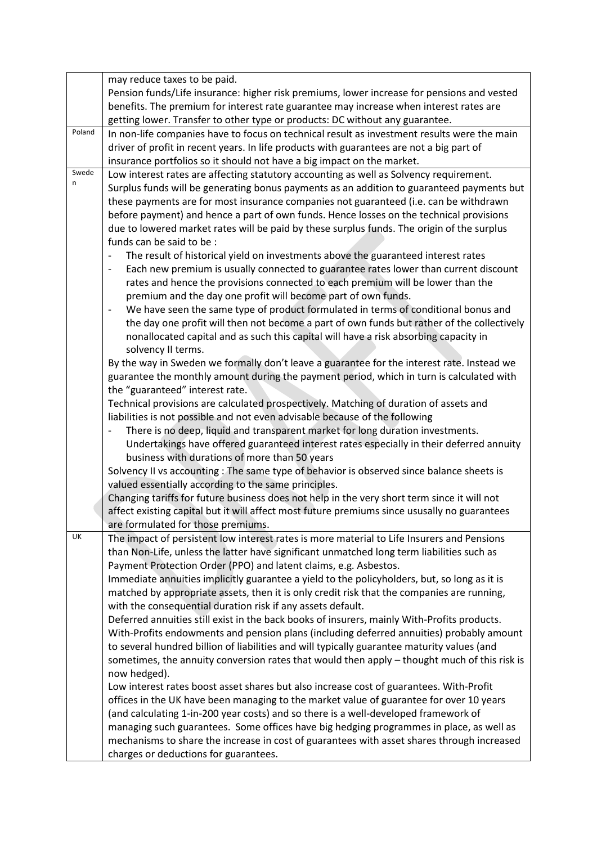|            | may reduce taxes to be paid.                                                                                                                               |
|------------|------------------------------------------------------------------------------------------------------------------------------------------------------------|
|            | Pension funds/Life insurance: higher risk premiums, lower increase for pensions and vested                                                                 |
|            | benefits. The premium for interest rate guarantee may increase when interest rates are                                                                     |
|            | getting lower. Transfer to other type or products: DC without any guarantee.                                                                               |
| Poland     | In non-life companies have to focus on technical result as investment results were the main                                                                |
|            | driver of profit in recent years. In life products with guarantees are not a big part of                                                                   |
|            | insurance portfolios so it should not have a big impact on the market.                                                                                     |
| Swede<br>n | Low interest rates are affecting statutory accounting as well as Solvency requirement.                                                                     |
|            | Surplus funds will be generating bonus payments as an addition to guaranteed payments but                                                                  |
|            | these payments are for most insurance companies not guaranteed (i.e. can be withdrawn                                                                      |
|            | before payment) and hence a part of own funds. Hence losses on the technical provisions                                                                    |
|            | due to lowered market rates will be paid by these surplus funds. The origin of the surplus                                                                 |
|            | funds can be said to be :                                                                                                                                  |
|            | The result of historical yield on investments above the guaranteed interest rates                                                                          |
|            | Each new premium is usually connected to guarantee rates lower than current discount                                                                       |
|            | rates and hence the provisions connected to each premium will be lower than the                                                                            |
|            | premium and the day one profit will become part of own funds.                                                                                              |
|            | We have seen the same type of product formulated in terms of conditional bonus and<br>$\qquad \qquad \blacksquare$                                         |
|            | the day one profit will then not become a part of own funds but rather of the collectively                                                                 |
|            | nonallocated capital and as such this capital will have a risk absorbing capacity in<br>solvency II terms.                                                 |
|            | By the way in Sweden we formally don't leave a guarantee for the interest rate. Instead we                                                                 |
|            | guarantee the monthly amount during the payment period, which in turn is calculated with                                                                   |
|            | the "guaranteed" interest rate.                                                                                                                            |
|            | Technical provisions are calculated prospectively. Matching of duration of assets and                                                                      |
|            | liabilities is not possible and not even advisable because of the following                                                                                |
|            | There is no deep, liquid and transparent market for long duration investments.                                                                             |
|            | Undertakings have offered guaranteed interest rates especially in their deferred annuity                                                                   |
|            | business with durations of more than 50 years                                                                                                              |
|            | Solvency II vs accounting : The same type of behavior is observed since balance sheets is                                                                  |
|            | valued essentially according to the same principles.                                                                                                       |
|            | Changing tariffs for future business does not help in the very short term since it will not                                                                |
|            | affect existing capital but it will affect most future premiums since ususally no guarantees                                                               |
|            | are formulated for those premiums.                                                                                                                         |
| UK         | The impact of persistent low interest rates is more material to Life Insurers and Pensions                                                                 |
|            | than Non-Life, unless the latter have significant unmatched long term liabilities such as                                                                  |
|            | Payment Protection Order (PPO) and latent claims, e.g. Asbestos.                                                                                           |
|            | Immediate annuities implicitly guarantee a yield to the policyholders, but, so long as it is                                                               |
|            | matched by appropriate assets, then it is only credit risk that the companies are running,                                                                 |
|            | with the consequential duration risk if any assets default.<br>Deferred annuities still exist in the back books of insurers, mainly With-Profits products. |
|            | With-Profits endowments and pension plans (including deferred annuities) probably amount                                                                   |
|            | to several hundred billion of liabilities and will typically guarantee maturity values (and                                                                |
|            | sometimes, the annuity conversion rates that would then apply - thought much of this risk is                                                               |
|            | now hedged).                                                                                                                                               |
|            | Low interest rates boost asset shares but also increase cost of guarantees. With-Profit                                                                    |
|            | offices in the UK have been managing to the market value of guarantee for over 10 years                                                                    |
|            | (and calculating 1-in-200 year costs) and so there is a well-developed framework of                                                                        |
|            | managing such guarantees. Some offices have big hedging programmes in place, as well as                                                                    |
|            | mechanisms to share the increase in cost of guarantees with asset shares through increased                                                                 |
|            | charges or deductions for guarantees.                                                                                                                      |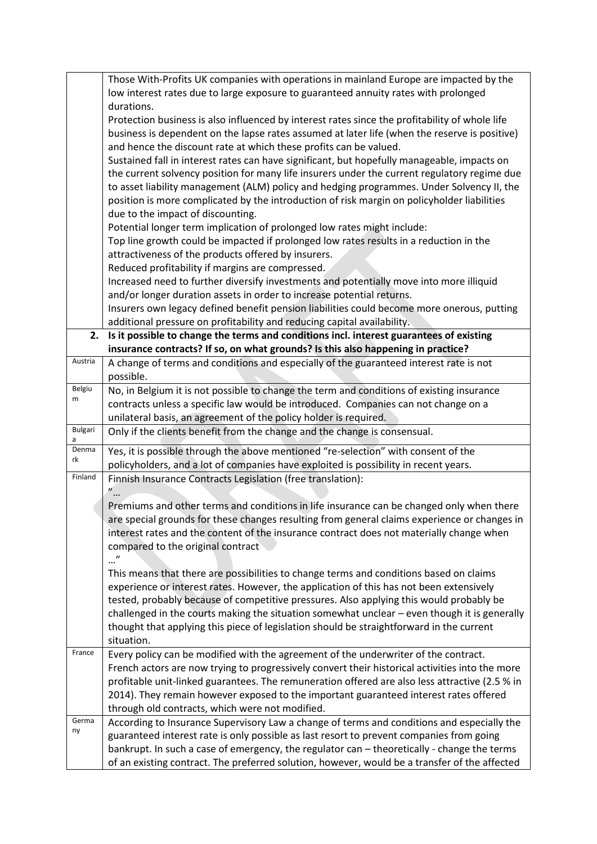|              | Those With-Profits UK companies with operations in mainland Europe are impacted by the<br>low interest rates due to large exposure to guaranteed annuity rates with prolonged                                                                                                                                                                                                                                                                                                          |
|--------------|----------------------------------------------------------------------------------------------------------------------------------------------------------------------------------------------------------------------------------------------------------------------------------------------------------------------------------------------------------------------------------------------------------------------------------------------------------------------------------------|
|              | durations.<br>Protection business is also influenced by interest rates since the profitability of whole life<br>business is dependent on the lapse rates assumed at later life (when the reserve is positive)<br>and hence the discount rate at which these profits can be valued.                                                                                                                                                                                                     |
|              | Sustained fall in interest rates can have significant, but hopefully manageable, impacts on<br>the current solvency position for many life insurers under the current regulatory regime due<br>to asset liability management (ALM) policy and hedging programmes. Under Solvency II, the<br>position is more complicated by the introduction of risk margin on policyholder liabilities                                                                                                |
|              | due to the impact of discounting.<br>Potential longer term implication of prolonged low rates might include:<br>Top line growth could be impacted if prolonged low rates results in a reduction in the                                                                                                                                                                                                                                                                                 |
|              | attractiveness of the products offered by insurers.<br>Reduced profitability if margins are compressed.                                                                                                                                                                                                                                                                                                                                                                                |
|              | Increased need to further diversify investments and potentially move into more illiquid<br>and/or longer duration assets in order to increase potential returns.<br>Insurers own legacy defined benefit pension liabilities could become more onerous, putting                                                                                                                                                                                                                         |
|              | additional pressure on profitability and reducing capital availability.                                                                                                                                                                                                                                                                                                                                                                                                                |
| 2.           | Is it possible to change the terms and conditions incl. interest guarantees of existing<br>insurance contracts? If so, on what grounds? Is this also happening in practice?                                                                                                                                                                                                                                                                                                            |
| Austria      | A change of terms and conditions and especially of the guaranteed interest rate is not<br>possible.                                                                                                                                                                                                                                                                                                                                                                                    |
| Belgiu<br>m  | No, in Belgium it is not possible to change the term and conditions of existing insurance<br>contracts unless a specific law would be introduced. Companies can not change on a<br>unilateral basis, an agreement of the policy holder is required.                                                                                                                                                                                                                                    |
| Bulgari<br>a | Only if the clients benefit from the change and the change is consensual.                                                                                                                                                                                                                                                                                                                                                                                                              |
| Denma<br>rk  | Yes, it is possible through the above mentioned "re-selection" with consent of the<br>policyholders, and a lot of companies have exploited is possibility in recent years.                                                                                                                                                                                                                                                                                                             |
| Finland      | Finnish Insurance Contracts Legislation (free translation):<br>$\boldsymbol{\eta}$                                                                                                                                                                                                                                                                                                                                                                                                     |
|              | Premiums and other terms and conditions in life insurance can be changed only when there<br>are special grounds for these changes resulting from general claims experience or changes in<br>interest rates and the content of the insurance contract does not materially change when<br>compared to the original contract                                                                                                                                                              |
|              | This means that there are possibilities to change terms and conditions based on claims<br>experience or interest rates. However, the application of this has not been extensively<br>tested, probably because of competitive pressures. Also applying this would probably be<br>challenged in the courts making the situation somewhat unclear - even though it is generally<br>thought that applying this piece of legislation should be straightforward in the current<br>situation. |
| France       | Every policy can be modified with the agreement of the underwriter of the contract.<br>French actors are now trying to progressively convert their historical activities into the more<br>profitable unit-linked guarantees. The remuneration offered are also less attractive (2.5 % in<br>2014). They remain however exposed to the important guaranteed interest rates offered<br>through old contracts, which were not modified.                                                   |
| Germa<br>ny  | According to Insurance Supervisory Law a change of terms and conditions and especially the<br>guaranteed interest rate is only possible as last resort to prevent companies from going<br>bankrupt. In such a case of emergency, the regulator can - theoretically - change the terms<br>of an existing contract. The preferred solution, however, would be a transfer of the affected                                                                                                 |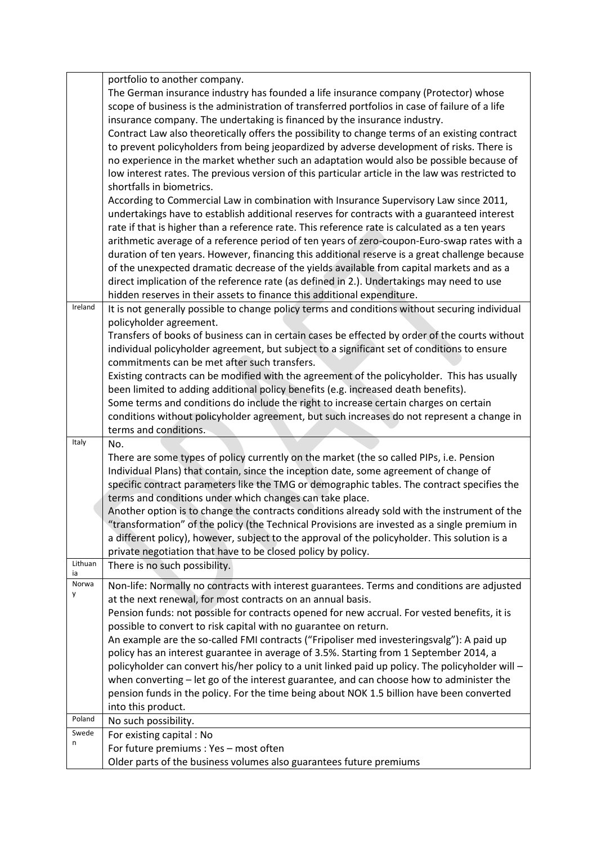|             | portfolio to another company.                                                                    |
|-------------|--------------------------------------------------------------------------------------------------|
|             | The German insurance industry has founded a life insurance company (Protector) whose             |
|             | scope of business is the administration of transferred portfolios in case of failure of a life   |
|             | insurance company. The undertaking is financed by the insurance industry.                        |
|             | Contract Law also theoretically offers the possibility to change terms of an existing contract   |
|             | to prevent policyholders from being jeopardized by adverse development of risks. There is        |
|             | no experience in the market whether such an adaptation would also be possible because of         |
|             | low interest rates. The previous version of this particular article in the law was restricted to |
|             | shortfalls in biometrics.                                                                        |
|             |                                                                                                  |
|             | According to Commercial Law in combination with Insurance Supervisory Law since 2011,            |
|             | undertakings have to establish additional reserves for contracts with a guaranteed interest      |
|             | rate if that is higher than a reference rate. This reference rate is calculated as a ten years   |
|             | arithmetic average of a reference period of ten years of zero-coupon-Euro-swap rates with a      |
|             | duration of ten years. However, financing this additional reserve is a great challenge because   |
|             | of the unexpected dramatic decrease of the yields available from capital markets and as a        |
|             | direct implication of the reference rate (as defined in 2.). Undertakings may need to use        |
|             | hidden reserves in their assets to finance this additional expenditure.                          |
| Ireland     | It is not generally possible to change policy terms and conditions without securing individual   |
|             | policyholder agreement.                                                                          |
|             | Transfers of books of business can in certain cases be effected by order of the courts without   |
|             | individual policyholder agreement, but subject to a significant set of conditions to ensure      |
|             | commitments can be met after such transfers.                                                     |
|             | Existing contracts can be modified with the agreement of the policyholder. This has usually      |
|             | been limited to adding additional policy benefits (e.g. increased death benefits).               |
|             | Some terms and conditions do include the right to increase certain charges on certain            |
|             | conditions without policyholder agreement, but such increases do not represent a change in       |
|             | terms and conditions.                                                                            |
| Italy       | No.                                                                                              |
|             | There are some types of policy currently on the market (the so called PIPs, i.e. Pension         |
|             | Individual Plans) that contain, since the inception date, some agreement of change of            |
|             | specific contract parameters like the TMG or demographic tables. The contract specifies the      |
|             | terms and conditions under which changes can take place.                                         |
|             | Another option is to change the contracts conditions already sold with the instrument of the     |
|             | "transformation" of the policy (the Technical Provisions are invested as a single premium in     |
|             | a different policy), however, subject to the approval of the policyholder. This solution is a    |
|             | private negotiation that have to be closed policy by policy.                                     |
| Lithuan     | There is no such possibility.                                                                    |
| ia<br>Norwa | Non-life: Normally no contracts with interest guarantees. Terms and conditions are adjusted      |
| y           | at the next renewal, for most contracts on an annual basis.                                      |
|             | Pension funds: not possible for contracts opened for new accrual. For vested benefits, it is     |
|             | possible to convert to risk capital with no guarantee on return.                                 |
|             | An example are the so-called FMI contracts ("Fripoliser med investeringsvalg"): A paid up        |
|             | policy has an interest guarantee in average of 3.5%. Starting from 1 September 2014, a           |
|             | policyholder can convert his/her policy to a unit linked paid up policy. The policyholder will - |
|             |                                                                                                  |
|             | when converting - let go of the interest guarantee, and can choose how to administer the         |
|             | pension funds in the policy. For the time being about NOK 1.5 billion have been converted        |
| Poland      | into this product.                                                                               |
| Swede       | No such possibility.                                                                             |
| n           | For existing capital : No<br>For future premiums : Yes - most often                              |
|             |                                                                                                  |
|             | Older parts of the business volumes also guarantees future premiums                              |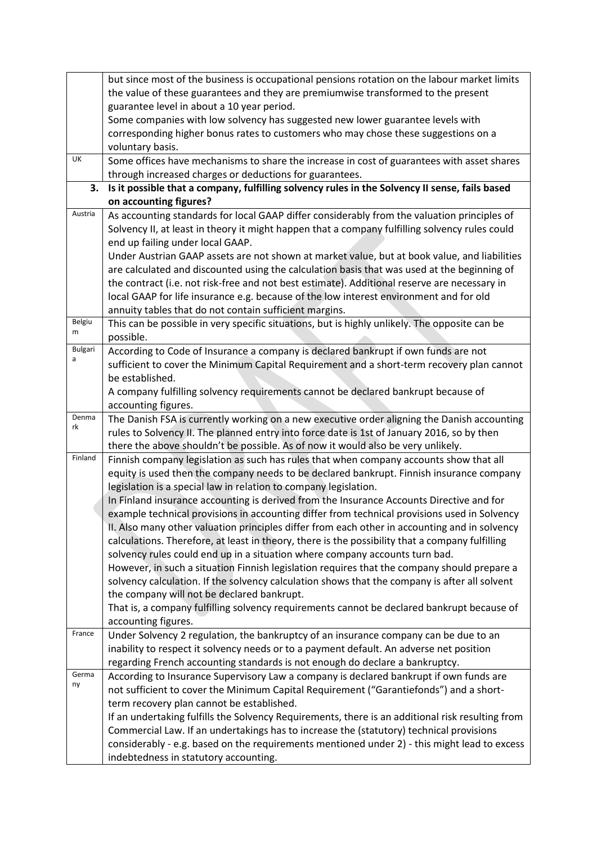|             | but since most of the business is occupational pensions rotation on the labour market limits                             |
|-------------|--------------------------------------------------------------------------------------------------------------------------|
|             | the value of these guarantees and they are premiumwise transformed to the present                                        |
|             | guarantee level in about a 10 year period.                                                                               |
|             | Some companies with low solvency has suggested new lower guarantee levels with                                           |
|             | corresponding higher bonus rates to customers who may chose these suggestions on a                                       |
|             | voluntary basis.                                                                                                         |
| UK          | Some offices have mechanisms to share the increase in cost of guarantees with asset shares                               |
|             | through increased charges or deductions for guarantees.                                                                  |
| 3.          | Is it possible that a company, fulfilling solvency rules in the Solvency II sense, fails based<br>on accounting figures? |
| Austria     | As accounting standards for local GAAP differ considerably from the valuation principles of                              |
|             | Solvency II, at least in theory it might happen that a company fulfilling solvency rules could                           |
|             | end up failing under local GAAP.                                                                                         |
|             | Under Austrian GAAP assets are not shown at market value, but at book value, and liabilities                             |
|             | are calculated and discounted using the calculation basis that was used at the beginning of                              |
|             | the contract (i.e. not risk-free and not best estimate). Additional reserve are necessary in                             |
|             | local GAAP for life insurance e.g. because of the low interest environment and for old                                   |
|             | annuity tables that do not contain sufficient margins.                                                                   |
| Belgiu      | This can be possible in very specific situations, but is highly unlikely. The opposite can be                            |
| m           | possible.                                                                                                                |
| Bulgari     | According to Code of Insurance a company is declared bankrupt if own funds are not                                       |
| a           | sufficient to cover the Minimum Capital Requirement and a short-term recovery plan cannot                                |
|             | be established.                                                                                                          |
|             | A company fulfilling solvency requirements cannot be declared bankrupt because of                                        |
|             | accounting figures.                                                                                                      |
| Denma       | The Danish FSA is currently working on a new executive order aligning the Danish accounting                              |
| rk          | rules to Solvency II. The planned entry into force date is 1st of January 2016, so by then                               |
|             | there the above shouldn't be possible. As of now it would also be very unlikely.                                         |
| Finland     | Finnish company legislation as such has rules that when company accounts show that all                                   |
|             | equity is used then the company needs to be declared bankrupt. Finnish insurance company                                 |
|             | legislation is a special law in relation to company legislation.                                                         |
|             | In Finland insurance accounting is derived from the Insurance Accounts Directive and for                                 |
|             | example technical provisions in accounting differ from technical provisions used in Solvency                             |
|             | II. Also many other valuation principles differ from each other in accounting and in solvency                            |
|             | calculations. Therefore, at least in theory, there is the possibility that a company fulfilling                          |
|             | solvency rules could end up in a situation where company accounts turn bad.                                              |
|             | However, in such a situation Finnish legislation requires that the company should prepare a                              |
|             | solvency calculation. If the solvency calculation shows that the company is after all solvent                            |
|             | the company will not be declared bankrupt.                                                                               |
|             | That is, a company fulfilling solvency requirements cannot be declared bankrupt because of                               |
|             | accounting figures.                                                                                                      |
| France      | Under Solvency 2 regulation, the bankruptcy of an insurance company can be due to an                                     |
|             | inability to respect it solvency needs or to a payment default. An adverse net position                                  |
|             | regarding French accounting standards is not enough do declare a bankruptcy.                                             |
| Germa<br>ny | According to Insurance Supervisory Law a company is declared bankrupt if own funds are                                   |
|             | not sufficient to cover the Minimum Capital Requirement ("Garantiefonds") and a short-                                   |
|             | term recovery plan cannot be established.                                                                                |
|             | If an undertaking fulfills the Solvency Requirements, there is an additional risk resulting from                         |
|             | Commercial Law. If an undertakings has to increase the (statutory) technical provisions                                  |
|             | considerably - e.g. based on the requirements mentioned under 2) - this might lead to excess                             |
|             | indebtedness in statutory accounting.                                                                                    |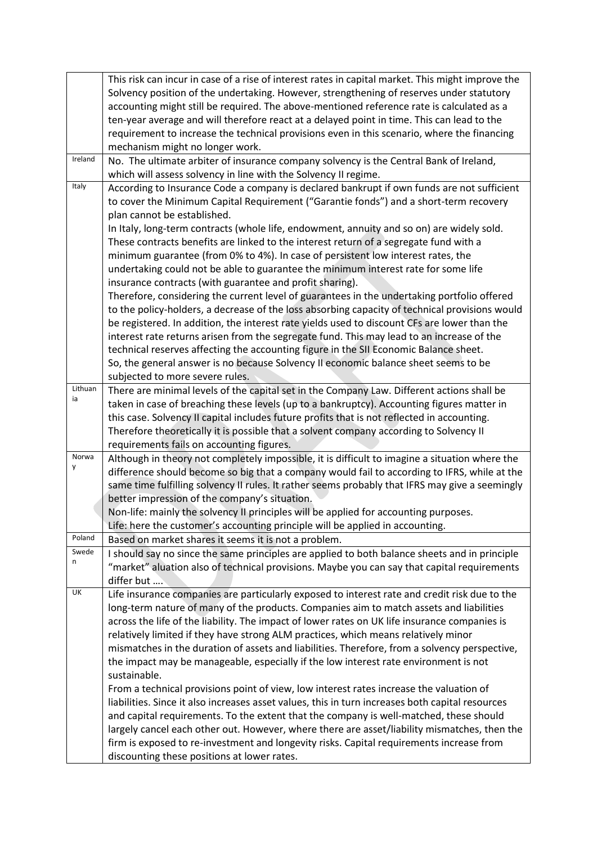|            | This risk can incur in case of a rise of interest rates in capital market. This might improve the |
|------------|---------------------------------------------------------------------------------------------------|
|            | Solvency position of the undertaking. However, strengthening of reserves under statutory          |
|            | accounting might still be required. The above-mentioned reference rate is calculated as a         |
|            | ten-year average and will therefore react at a delayed point in time. This can lead to the        |
|            | requirement to increase the technical provisions even in this scenario, where the financing       |
|            | mechanism might no longer work.                                                                   |
| Ireland    | No. The ultimate arbiter of insurance company solvency is the Central Bank of Ireland,            |
|            | which will assess solvency in line with the Solvency II regime.                                   |
| Italy      |                                                                                                   |
|            | According to Insurance Code a company is declared bankrupt if own funds are not sufficient        |
|            | to cover the Minimum Capital Requirement ("Garantie fonds") and a short-term recovery             |
|            | plan cannot be established.                                                                       |
|            | In Italy, long-term contracts (whole life, endowment, annuity and so on) are widely sold.         |
|            | These contracts benefits are linked to the interest return of a segregate fund with a             |
|            | minimum guarantee (from 0% to 4%). In case of persistent low interest rates, the                  |
|            | undertaking could not be able to guarantee the minimum interest rate for some life                |
|            | insurance contracts (with guarantee and profit sharing).                                          |
|            | Therefore, considering the current level of guarantees in the undertaking portfolio offered       |
|            | to the policy-holders, a decrease of the loss absorbing capacity of technical provisions would    |
|            | be registered. In addition, the interest rate yields used to discount CFs are lower than the      |
|            | interest rate returns arisen from the segregate fund. This may lead to an increase of the         |
|            | technical reserves affecting the accounting figure in the SII Economic Balance sheet.             |
|            | So, the general answer is no because Solvency II economic balance sheet seems to be               |
|            | subjected to more severe rules.                                                                   |
| Lithuan    |                                                                                                   |
| ia         | There are minimal levels of the capital set in the Company Law. Different actions shall be        |
|            | taken in case of breaching these levels (up to a bankruptcy). Accounting figures matter in        |
|            | this case. Solvency II capital includes future profits that is not reflected in accounting.       |
|            | Therefore theoretically it is possible that a solvent company according to Solvency II            |
|            | requirements fails on accounting figures.                                                         |
| Norwa<br>y | Although in theory not completely impossible, it is difficult to imagine a situation where the    |
|            | difference should become so big that a company would fail to according to IFRS, while at the      |
|            | same time fulfilling solvency II rules. It rather seems probably that IFRS may give a seemingly   |
|            | better impression of the company's situation.                                                     |
|            | Non-life: mainly the solvency II principles will be applied for accounting purposes.              |
|            | Life: here the customer's accounting principle will be applied in accounting.                     |
| Poland     | Based on market shares it seems it is not a problem.                                              |
| Swede      | I should say no since the same principles are applied to both balance sheets and in principle     |
| n          | "market" aluation also of technical provisions. Maybe you can say that capital requirements       |
|            | differ but                                                                                        |
| UK         | Life insurance companies are particularly exposed to interest rate and credit risk due to the     |
|            | long-term nature of many of the products. Companies aim to match assets and liabilities           |
|            | across the life of the liability. The impact of lower rates on UK life insurance companies is     |
|            | relatively limited if they have strong ALM practices, which means relatively minor                |
|            | mismatches in the duration of assets and liabilities. Therefore, from a solvency perspective,     |
|            |                                                                                                   |
|            | the impact may be manageable, especially if the low interest rate environment is not              |
|            | sustainable.                                                                                      |
|            | From a technical provisions point of view, low interest rates increase the valuation of           |
|            | liabilities. Since it also increases asset values, this in turn increases both capital resources  |
|            | and capital requirements. To the extent that the company is well-matched, these should            |
|            | largely cancel each other out. However, where there are asset/liability mismatches, then the      |
|            | firm is exposed to re-investment and longevity risks. Capital requirements increase from          |
|            | discounting these positions at lower rates.                                                       |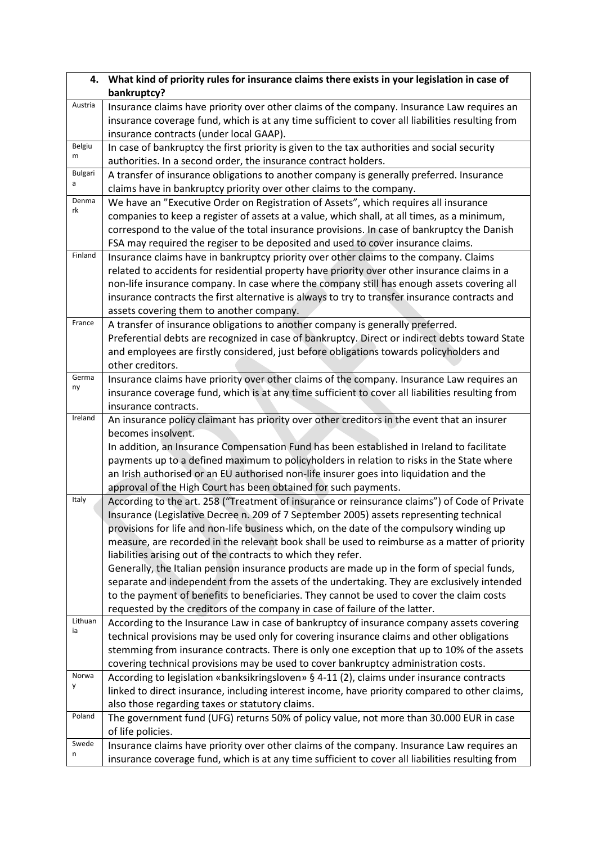| 4.      | What kind of priority rules for insurance claims there exists in your legislation in case of     |
|---------|--------------------------------------------------------------------------------------------------|
|         | bankruptcy?                                                                                      |
| Austria | Insurance claims have priority over other claims of the company. Insurance Law requires an       |
|         | insurance coverage fund, which is at any time sufficient to cover all liabilities resulting from |
|         | insurance contracts (under local GAAP).                                                          |
| Belgiu  | In case of bankruptcy the first priority is given to the tax authorities and social security     |
| m       | authorities. In a second order, the insurance contract holders.                                  |
| Bulgari | A transfer of insurance obligations to another company is generally preferred. Insurance         |
| a       | claims have in bankruptcy priority over other claims to the company.                             |
| Denma   | We have an "Executive Order on Registration of Assets", which requires all insurance             |
| rk      | companies to keep a register of assets at a value, which shall, at all times, as a minimum,      |
|         | correspond to the value of the total insurance provisions. In case of bankruptcy the Danish      |
|         | FSA may required the regiser to be deposited and used to cover insurance claims.                 |
| Finland | Insurance claims have in bankruptcy priority over other claims to the company. Claims            |
|         | related to accidents for residential property have priority over other insurance claims in a     |
|         | non-life insurance company. In case where the company still has enough assets covering all       |
|         | insurance contracts the first alternative is always to try to transfer insurance contracts and   |
|         | assets covering them to another company.                                                         |
| France  | A transfer of insurance obligations to another company is generally preferred.                   |
|         | Preferential debts are recognized in case of bankruptcy. Direct or indirect debts toward State   |
|         | and employees are firstly considered, just before obligations towards policyholders and          |
|         | other creditors.                                                                                 |
| Germa   | Insurance claims have priority over other claims of the company. Insurance Law requires an       |
| ny      | insurance coverage fund, which is at any time sufficient to cover all liabilities resulting from |
|         | insurance contracts.                                                                             |
| Ireland | An insurance policy claimant has priority over other creditors in the event that an insurer      |
|         | becomes insolvent.                                                                               |
|         | In addition, an Insurance Compensation Fund has been established in Ireland to facilitate        |
|         | payments up to a defined maximum to policyholders in relation to risks in the State where        |
|         | an Irish authorised or an EU authorised non-life insurer goes into liquidation and the           |
|         | approval of the High Court has been obtained for such payments.                                  |
| Italy   | According to the art. 258 ("Treatment of insurance or reinsurance claims") of Code of Private    |
|         | Insurance (Legislative Decree n. 209 of 7 September 2005) assets representing technical          |
|         | provisions for life and non-life business which, on the date of the compulsory winding up        |
|         | measure, are recorded in the relevant book shall be used to reimburse as a matter of priority    |
|         | liabilities arising out of the contracts to which they refer.                                    |
|         | Generally, the Italian pension insurance products are made up in the form of special funds,      |
|         | separate and independent from the assets of the undertaking. They are exclusively intended       |
|         | to the payment of benefits to beneficiaries. They cannot be used to cover the claim costs        |
|         | requested by the creditors of the company in case of failure of the latter.                      |
| Lithuan | According to the Insurance Law in case of bankruptcy of insurance company assets covering        |
| ia      | technical provisions may be used only for covering insurance claims and other obligations        |
|         | stemming from insurance contracts. There is only one exception that up to 10% of the assets      |
|         | covering technical provisions may be used to cover bankruptcy administration costs.              |
| Norwa   | According to legislation «banksikringsloven» § 4-11 (2), claims under insurance contracts        |
| y       | linked to direct insurance, including interest income, have priority compared to other claims,   |
|         | also those regarding taxes or statutory claims.                                                  |
| Poland  | The government fund (UFG) returns 50% of policy value, not more than 30.000 EUR in case          |
|         | of life policies.                                                                                |
| Swede   | Insurance claims have priority over other claims of the company. Insurance Law requires an       |
| n       | insurance coverage fund, which is at any time sufficient to cover all liabilities resulting from |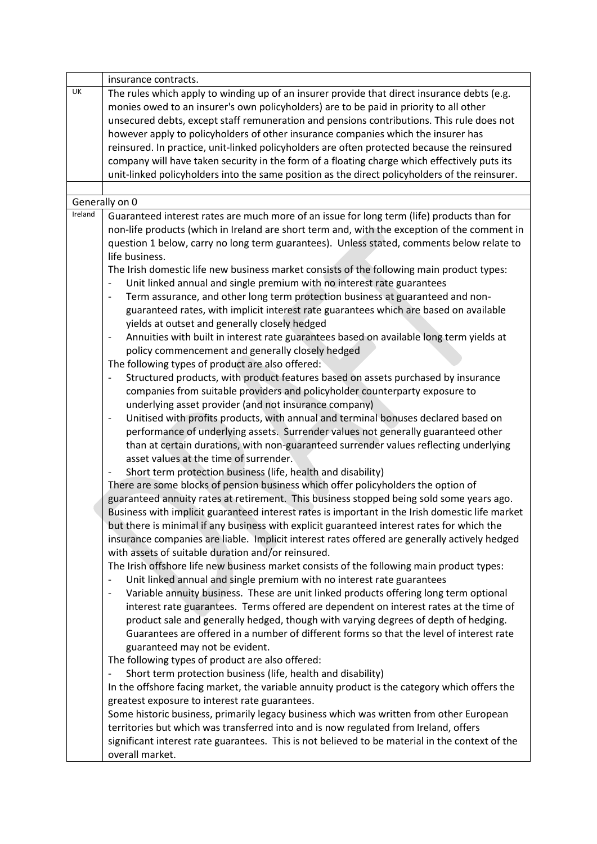|                | insurance contracts.                                                                                                                                                                        |  |
|----------------|---------------------------------------------------------------------------------------------------------------------------------------------------------------------------------------------|--|
| UK             | The rules which apply to winding up of an insurer provide that direct insurance debts (e.g.<br>monies owed to an insurer's own policyholders) are to be paid in priority to all other       |  |
|                | unsecured debts, except staff remuneration and pensions contributions. This rule does not                                                                                                   |  |
|                | however apply to policyholders of other insurance companies which the insurer has                                                                                                           |  |
|                | reinsured. In practice, unit-linked policyholders are often protected because the reinsured                                                                                                 |  |
|                | company will have taken security in the form of a floating charge which effectively puts its                                                                                                |  |
|                | unit-linked policyholders into the same position as the direct policyholders of the reinsurer.                                                                                              |  |
|                |                                                                                                                                                                                             |  |
| Generally on 0 |                                                                                                                                                                                             |  |
| Ireland        | Guaranteed interest rates are much more of an issue for long term (life) products than for                                                                                                  |  |
|                | non-life products (which in Ireland are short term and, with the exception of the comment in                                                                                                |  |
|                | question 1 below, carry no long term guarantees). Unless stated, comments below relate to                                                                                                   |  |
|                | life business.                                                                                                                                                                              |  |
|                | The Irish domestic life new business market consists of the following main product types:                                                                                                   |  |
|                | Unit linked annual and single premium with no interest rate guarantees                                                                                                                      |  |
|                | Term assurance, and other long term protection business at guaranteed and non-                                                                                                              |  |
|                | guaranteed rates, with implicit interest rate guarantees which are based on available                                                                                                       |  |
|                | yields at outset and generally closely hedged                                                                                                                                               |  |
|                | Annuities with built in interest rate guarantees based on available long term yields at<br>$\overline{\phantom{0}}$                                                                         |  |
|                | policy commencement and generally closely hedged                                                                                                                                            |  |
|                | The following types of product are also offered:                                                                                                                                            |  |
|                | Structured products, with product features based on assets purchased by insurance                                                                                                           |  |
|                | $\overline{\phantom{0}}$                                                                                                                                                                    |  |
|                | companies from suitable providers and policyholder counterparty exposure to                                                                                                                 |  |
|                | underlying asset provider (and not insurance company)                                                                                                                                       |  |
|                | Unitised with profits products, with annual and terminal bonuses declared based on<br>$\qquad \qquad -$                                                                                     |  |
|                | performance of underlying assets. Surrender values not generally guaranteed other<br>than at certain durations, with non-guaranteed surrender values reflecting underlying                  |  |
|                | asset values at the time of surrender.                                                                                                                                                      |  |
|                | Short term protection business (life, health and disability)<br>-                                                                                                                           |  |
|                | There are some blocks of pension business which offer policyholders the option of                                                                                                           |  |
|                | guaranteed annuity rates at retirement. This business stopped being sold some years ago.<br>Business with implicit guaranteed interest rates is important in the Irish domestic life market |  |
|                | but there is minimal if any business with explicit guaranteed interest rates for which the                                                                                                  |  |
|                | insurance companies are liable. Implicit interest rates offered are generally actively hedged                                                                                               |  |
|                | with assets of suitable duration and/or reinsured.                                                                                                                                          |  |
|                | The Irish offshore life new business market consists of the following main product types:                                                                                                   |  |
|                | Unit linked annual and single premium with no interest rate guarantees                                                                                                                      |  |
|                | Variable annuity business. These are unit linked products offering long term optional                                                                                                       |  |
|                | interest rate guarantees. Terms offered are dependent on interest rates at the time of                                                                                                      |  |
|                | product sale and generally hedged, though with varying degrees of depth of hedging.                                                                                                         |  |
|                | Guarantees are offered in a number of different forms so that the level of interest rate                                                                                                    |  |
|                | guaranteed may not be evident.                                                                                                                                                              |  |
|                | The following types of product are also offered:                                                                                                                                            |  |
|                | Short term protection business (life, health and disability)                                                                                                                                |  |
|                | In the offshore facing market, the variable annuity product is the category which offers the                                                                                                |  |
|                | greatest exposure to interest rate guarantees.                                                                                                                                              |  |
|                | Some historic business, primarily legacy business which was written from other European                                                                                                     |  |
|                | territories but which was transferred into and is now regulated from Ireland, offers                                                                                                        |  |
|                | significant interest rate guarantees. This is not believed to be material in the context of the                                                                                             |  |
|                | overall market.                                                                                                                                                                             |  |